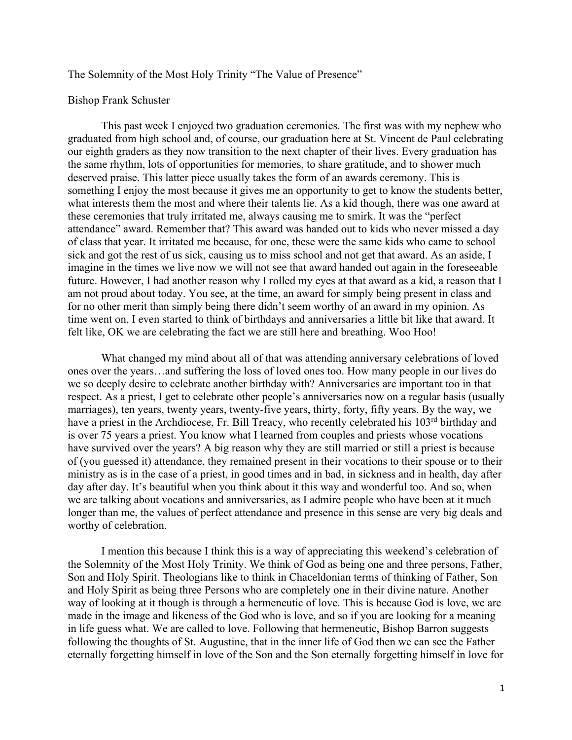## The Solemnity of the Most Holy Trinity "The Value of Presence"

## Bishop Frank Schuster

This past week I enjoyed two graduation ceremonies. The first was with my nephew who graduated from high school and, of course, our graduation here at St. Vincent de Paul celebrating our eighth graders as they now transition to the next chapter of their lives. Every graduation has the same rhythm, lots of opportunities for memories, to share gratitude, and to shower much deserved praise. This latter piece usually takes the form of an awards ceremony. This is something I enjoy the most because it gives me an opportunity to get to know the students better, what interests them the most and where their talents lie. As a kid though, there was one award at these ceremonies that truly irritated me, always causing me to smirk. It was the "perfect attendance" award. Remember that? This award was handed out to kids who never missed a day of class that year. It irritated me because, for one, these were the same kids who came to school sick and got the rest of us sick, causing us to miss school and not get that award. As an aside, I imagine in the times we live now we will not see that award handed out again in the foreseeable future. However, I had another reason why I rolled my eyes at that award as a kid, a reason that I am not proud about today. You see, at the time, an award for simply being present in class and for no other merit than simply being there didn't seem worthy of an award in my opinion. As time went on, I even started to think of birthdays and anniversaries a little bit like that award. It felt like, OK we are celebrating the fact we are still here and breathing. Woo Hoo!

What changed my mind about all of that was attending anniversary celebrations of loved ones over the years…and suffering the loss of loved ones too. How many people in our lives do we so deeply desire to celebrate another birthday with? Anniversaries are important too in that respect. As a priest, I get to celebrate other people's anniversaries now on a regular basis (usually marriages), ten years, twenty years, twenty-five years, thirty, forty, fifty years. By the way, we have a priest in the Archdiocese, Fr. Bill Treacy, who recently celebrated his 103<sup>rd</sup> birthday and is over 75 years a priest. You know what I learned from couples and priests whose vocations have survived over the years? A big reason why they are still married or still a priest is because of (you guessed it) attendance, they remained present in their vocations to their spouse or to their ministry as is in the case of a priest, in good times and in bad, in sickness and in health, day after day after day. It's beautiful when you think about it this way and wonderful too. And so, when we are talking about vocations and anniversaries, as I admire people who have been at it much longer than me, the values of perfect attendance and presence in this sense are very big deals and worthy of celebration.

I mention this because I think this is a way of appreciating this weekend's celebration of the Solemnity of the Most Holy Trinity. We think of God as being one and three persons, Father, Son and Holy Spirit. Theologians like to think in Chaceldonian terms of thinking of Father, Son and Holy Spirit as being three Persons who are completely one in their divine nature. Another way of looking at it though is through a hermeneutic of love. This is because God is love, we are made in the image and likeness of the God who is love, and so if you are looking for a meaning in life guess what. We are called to love. Following that hermeneutic, Bishop Barron suggests following the thoughts of St. Augustine, that in the inner life of God then we can see the Father eternally forgetting himself in love of the Son and the Son eternally forgetting himself in love for